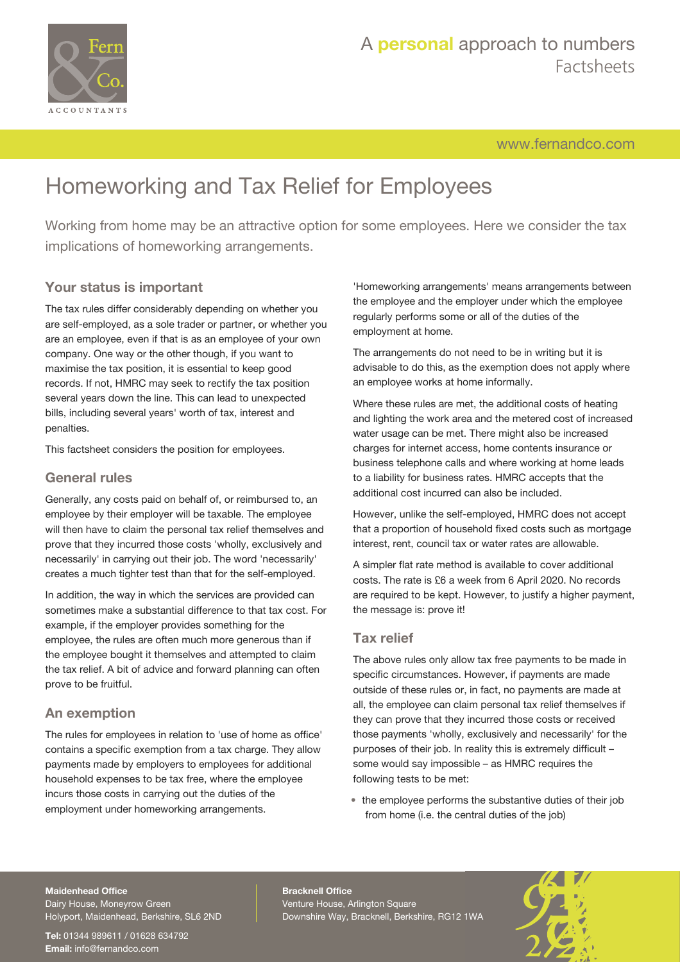

# A **personal** approach to numbers Factsheets

[www.fernandco.com](http://www.fernandco.com)

# Homeworking and Tax Relief for Employees

Working from home may be an attractive option for some employees. Here we consider the tax implications of homeworking arrangements.

## **Your status is important**

The tax rules differ considerably depending on whether you are self-employed, as a sole trader or partner, or whether you are an employee, even if that is as an employee of your own company. One way or the other though, if you want to maximise the tax position, it is essential to keep good records. If not, HMRC may seek to rectify the tax position several years down the line. This can lead to unexpected bills, including several years' worth of tax, interest and penalties.

This factsheet considers the position for employees.

#### **General rules**

Generally, any costs paid on behalf of, or reimbursed to, an employee by their employer will be taxable. The employee will then have to claim the personal tax relief themselves and prove that they incurred those costs 'wholly, exclusively and necessarily' in carrying out their job. The word 'necessarily' creates a much tighter test than that for the self-employed.

In addition, the way in which the services are provided can sometimes make a substantial difference to that tax cost. For example, if the employer provides something for the employee, the rules are often much more generous than if the employee bought it themselves and attempted to claim the tax relief. A bit of advice and forward planning can often prove to be fruitful.

### **An exemption**

The rules for employees in relation to 'use of home as office' contains a specific exemption from a tax charge. They allow payments made by employers to employees for additional household expenses to be tax free, where the employee incurs those costs in carrying out the duties of the employment under homeworking arrangements.

'Homeworking arrangements' means arrangements between the employee and the employer under which the employee regularly performs some or all of the duties of the employment at home.

The arrangements do not need to be in writing but it is advisable to do this, as the exemption does not apply where an employee works at home informally.

Where these rules are met, the additional costs of heating and lighting the work area and the metered cost of increased water usage can be met. There might also be increased charges for internet access, home contents insurance or business telephone calls and where working at home leads to a liability for business rates. HMRC accepts that the additional cost incurred can also be included.

However, unlike the self-employed, HMRC does not accept that a proportion of household fixed costs such as mortgage interest, rent, council tax or water rates are allowable.

A simpler flat rate method is available to cover additional costs. The rate is £6 a week from 6 April 2020. No records are required to be kept. However, to justify a higher payment, the message is: prove it!

### **Tax relief**

The above rules only allow tax free payments to be made in specific circumstances. However, if payments are made outside of these rules or, in fact, no payments are made at all, the employee can claim personal tax relief themselves if they can prove that they incurred those costs or received those payments 'wholly, exclusively and necessarily' for the purposes of their job. In reality this is extremely difficult – some would say impossible – as HMRC requires the following tests to be met:

• the employee performs the substantive duties of their job from home (i.e. the central duties of the job)

#### **Maidenhead Office**

Dairy House, Moneyrow Green Holyport, Maidenhead, Berkshire, SL6 2ND

**Tel:** 01344 989611 / 01628 634792 **Email:** [info@fernandco.com](mailto:info@fernandco.com)

**Bracknell Office** Venture House, Arlington Square Downshire Way, Bracknell, Berkshire, RG12 1WA

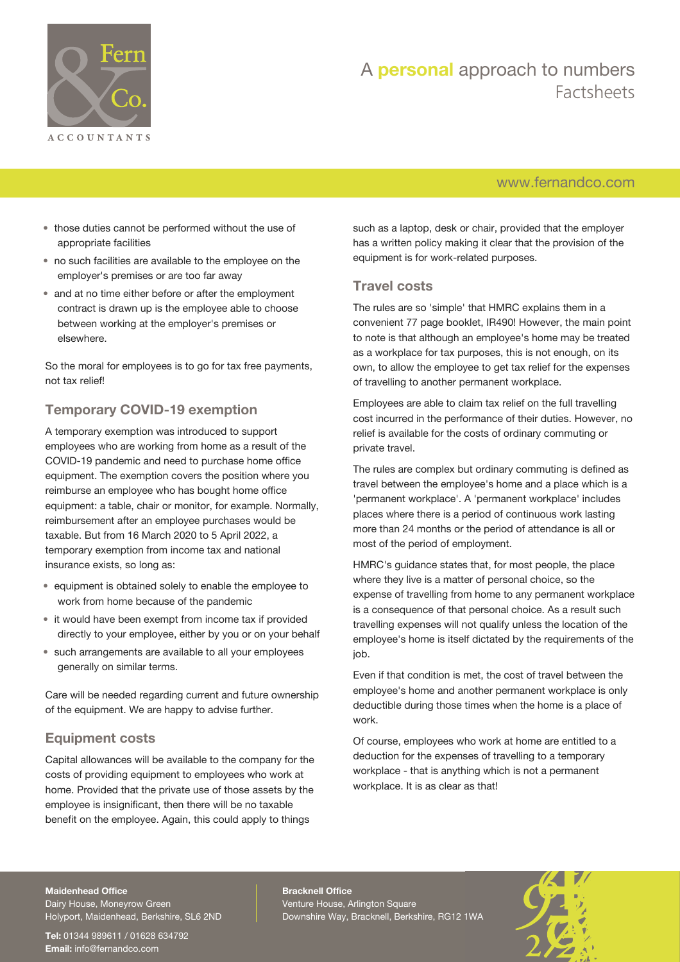

# A **personal** approach to numbers Factsheets

# [www.fernandco.com](http://www.fernandco.com)

- those duties cannot be performed without the use of appropriate facilities
- no such facilities are available to the employee on the employer's premises or are too far away
- and at no time either before or after the employment contract is drawn up is the employee able to choose between working at the employer's premises or elsewhere.

So the moral for employees is to go for tax free payments, not tax relief!

# **Temporary COVID-19 exemption**

A temporary exemption was introduced to support employees who are working from home as a result of the COVID-19 pandemic and need to purchase home office equipment. The exemption covers the position where you reimburse an employee who has bought home office equipment: a table, chair or monitor, for example. Normally, reimbursement after an employee purchases would be taxable. But from 16 March 2020 to 5 April 2022, a temporary exemption from income tax and national insurance exists, so long as:

- equipment is obtained solely to enable the employee to work from home because of the pandemic
- it would have been exempt from income tax if provided directly to your employee, either by you or on your behalf
- such arrangements are available to all your employees generally on similar terms.

Care will be needed regarding current and future ownership of the equipment. We are happy to advise further.

### **Equipment costs**

Capital allowances will be available to the company for the costs of providing equipment to employees who work at home. Provided that the private use of those assets by the employee is insignificant, then there will be no taxable benefit on the employee. Again, this could apply to things

such as a laptop, desk or chair, provided that the employer has a written policy making it clear that the provision of the equipment is for work-related purposes.

### **Travel costs**

The rules are so 'simple' that HMRC explains them in a convenient 77 page booklet, IR490! However, the main point to note is that although an employee's home may be treated as a workplace for tax purposes, this is not enough, on its own, to allow the employee to get tax relief for the expenses of travelling to another permanent workplace.

Employees are able to claim tax relief on the full travelling cost incurred in the performance of their duties. However, no relief is available for the costs of ordinary commuting or private travel.

The rules are complex but ordinary commuting is defined as travel between the employee's home and a place which is a 'permanent workplace'. A 'permanent workplace' includes places where there is a period of continuous work lasting more than 24 months or the period of attendance is all or most of the period of employment.

HMRC's guidance states that, for most people, the place where they live is a matter of personal choice, so the expense of travelling from home to any permanent workplace is a consequence of that personal choice. As a result such travelling expenses will not qualify unless the location of the employee's home is itself dictated by the requirements of the job.

Even if that condition is met, the cost of travel between the employee's home and another permanent workplace is only deductible during those times when the home is a place of work.

Of course, employees who work at home are entitled to a deduction for the expenses of travelling to a temporary workplace - that is anything which is not a permanent workplace. It is as clear as that!

#### **Maidenhead Office**

Dairy House, Moneyrow Green Holyport, Maidenhead, Berkshire, SL6 2ND

**Tel:** 01344 989611 / 01628 634792 **Email:** [info@fernandco.com](mailto:info@fernandco.com)

**Bracknell Office** Venture House, Arlington Square Downshire Way, Bracknell, Berkshire, RG12 1WA